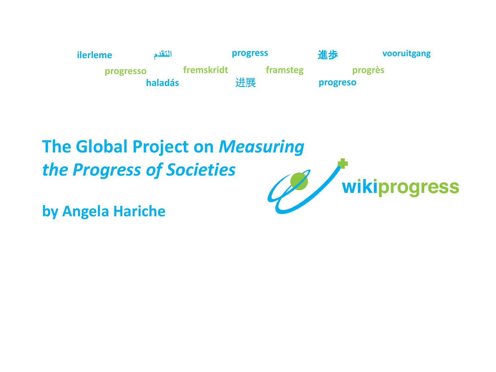

# **The Global Project on** *Measuring the Progress of Societies*

**by Angela Hariche**

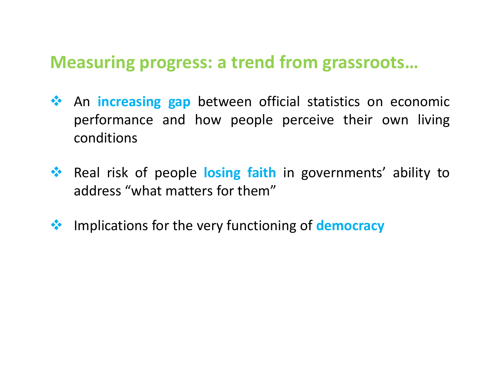### **Measuring progress: a trend from grassroots…**

- **An increasing gap** between official statistics on economic performance and how people perceive their own living conditions
- **<sup>◆</sup>** Real risk of people losing faith in governments' ability to address "what matters for them"
- **Example 1** implications for the very functioning of **democracy**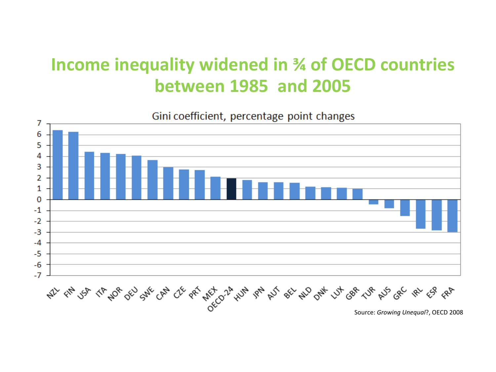## **Income inequality widened in ¾ of OECD countries between 1985 and 2005**



Gini coefficient, percentage point changes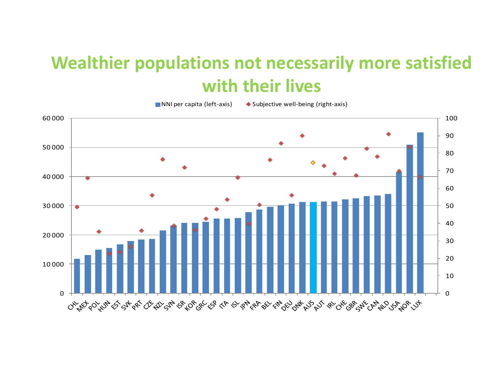## **Wealthier populations not necessarily more satisfied with their lives**

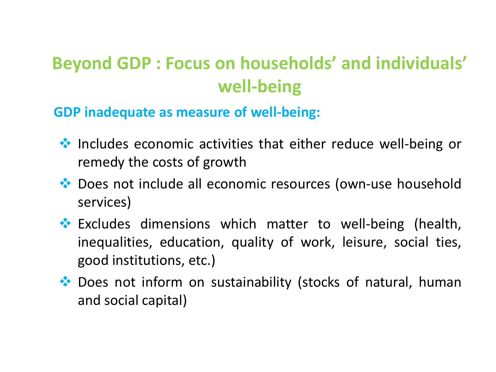# **Beyond GDP : Focus on households' and individuals' well-being**

**GDP inadequate as measure of well-being:**

- ◆ Includes economic activities that either reduce well-being or remedy the costs of growth
- ◆ Does not include all economic resources (own-use household services)
- \* Excludes dimensions which matter to well-being (health, inequalities, education, quality of work, leisure, social ties, good institutions, etc.)
- ◆ Does not inform on sustainability (stocks of natural, human and social capital)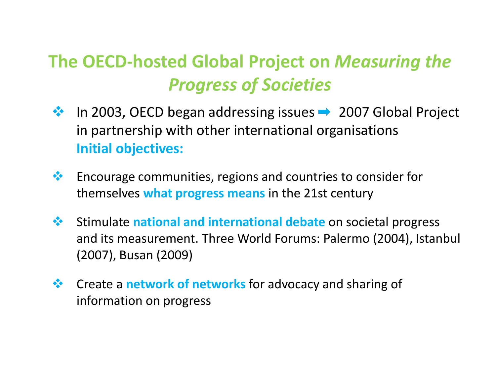# **The OECD-hosted Global Project on** *Measuring the Progress of Societies*

- $\cdot$  In 2003, OECD began addressing issues  $\rightarrow$  2007 Global Project in partnership with other international organisations **Initial objectives:**
- $\bullet\bullet$  Encourage communities, regions and countries to consider for themselves **what progress means** in the 21st century
- Stimulate **national and international debate** on societal progress and its measurement. Three World Forums: Palermo (2004), Istanbul (2007), Busan (2009)
- **Create a network of networks** for advocacy and sharing of information on progress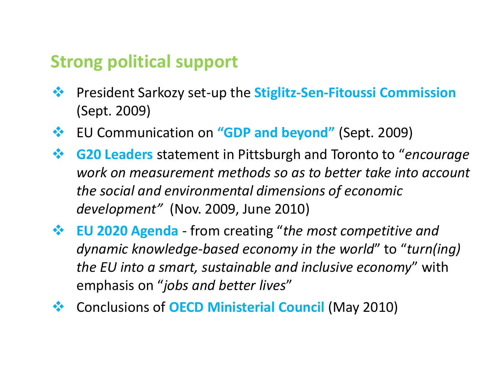### **Strong political support**

- President Sarkozy set-up the **Stiglitz-Sen-Fitoussi Commission**  (Sept. 2009)
- EU Communication on **"GDP and beyond"** (Sept. 2009)
- **G20 Leaders** statement in Pittsburgh and Toronto to "*encourage work on measurement methods so as to better take into account the social and environmental dimensions of economic development"* (Nov. 2009, June 2010)
- **EU 2020 Agenda**  from creating "*the most competitive and dynamic knowledge-based economy in the world*" to "*turn(ing) the EU into a smart, sustainable and inclusive economy*" with emphasis on "*jobs and better lives*"
- Conclusions of **OECD Ministerial Council** (May 2010)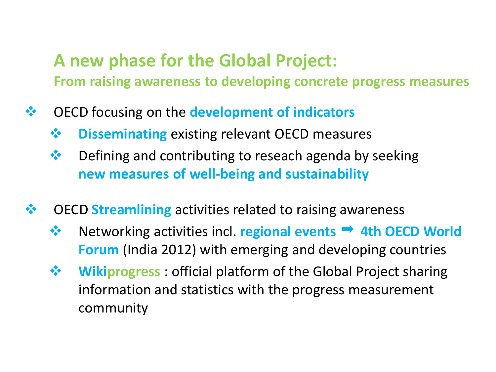### **A new phase for the Global Project: From raising awareness to developing concrete progress measures**

- OECD focusing on the **development of indicators**
	- **❖** Disseminating existing relevant OECD measures
	- $\mathbf{\hat{P}}$  Defining and contributing to reseach agenda by seeking **new measures of well-being and sustainability**
- **❖** OECD **Streamlining** activities related to raising awareness
	- **<sup>◆</sup>** Networking activities incl. **regional events → 4th OECD World Forum** (India 2012) with emerging and developing countries
	- **Wikiprogress**: official platform of the Global Project sharing information and statistics with the progress measurement community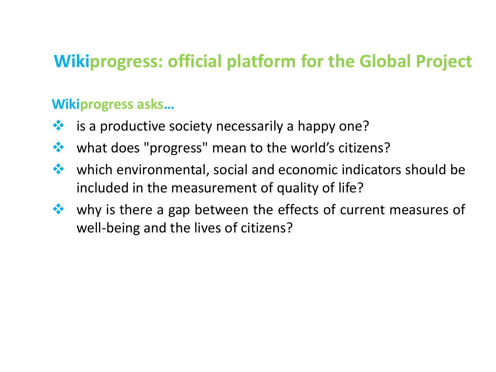## **Wikiprogress: official platform for the Global Project**

#### **Wikiprogress asks…**

- $\cdot$  is a productive society necessarily a happy one?
- **❖** what does "progress" mean to the world's citizens?
- which environmental, social and economic indicators should be included in the measurement of quality of life?
- why is there a gap between the effects of current measures of well-being and the lives of citizens?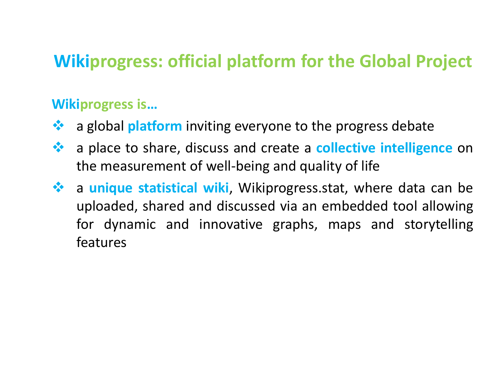## **Wikiprogress: official platform for the Global Project**

#### **Wikiprogress is…**

- **\*** a global **platform** inviting everyone to the progress debate
- a place to share, discuss and create a **collective intelligence** on the measurement of well-being and quality of life
- **\*** a unique statistical wiki, Wikiprogress.stat, where data can be uploaded, shared and discussed via an embedded tool allowing for dynamic and innovative graphs, maps and storytelling features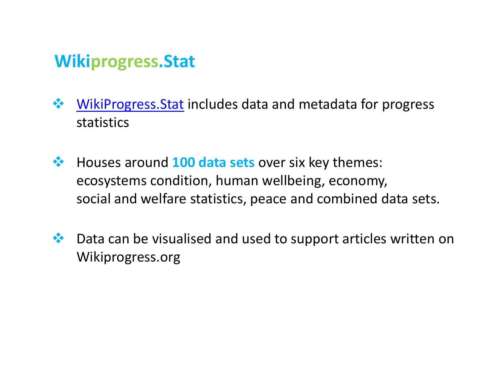### **Wikiprogress.Stat**

- WikiProgress. Stat includes data and metadata for progress statistics
- Houses around **100 data sets** over six key themes: ecosystems condition, human wellbeing, economy, social and welfare statistics, peace and combined data sets.
- ◆ Data can be visualised and used to support articles written on Wikiprogress.org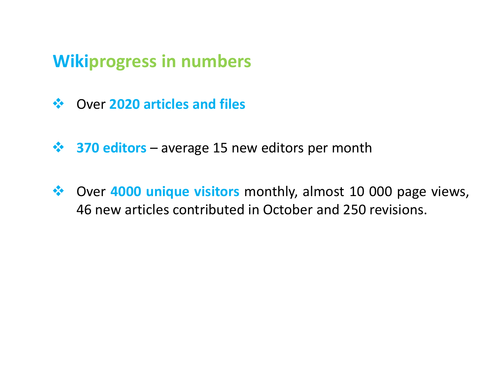## **Wikiprogress in numbers**

- Over **2020 articles and files**
- $\cdot$  **370 editors** average 15 new editors per month
- Over **4000 unique visitors** monthly, almost 10 000 page views, 46 new articles contributed in October and 250 revisions.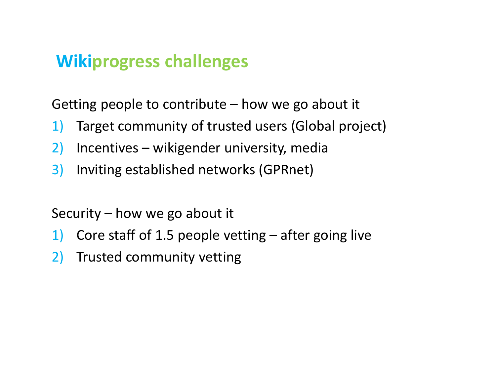### **Wikiprogress challenges**

Getting people to contribute  $-$  how we go about it

- 1) Target community of trusted users (Global project)
- 2) Incentives wikigender university, media
- 3) Inviting established networks (GPRnet)

Security – how we go about it

- 1) Core staff of 1.5 people vetting after going live
- 2) Trusted community vetting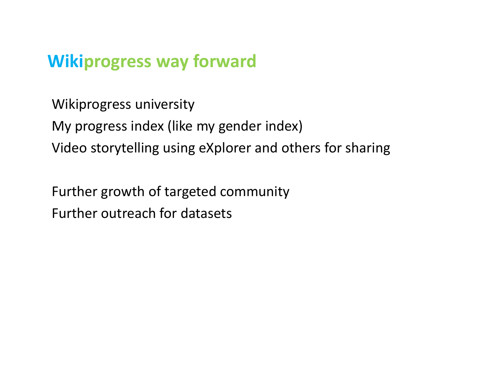### **Wikiprogress way forward**

Wikiprogress university My progress index (like my gender index) Video storytelling using eXplorer and others for sharing

Further growth of targeted community Further outreach for datasets